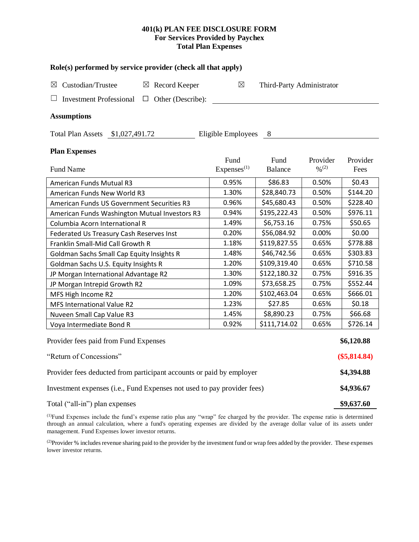## **401(k) PLAN FEE DISCLOSURE FORM For Services Provided by Paychex Total Plan Expenses**

| Role(s) performed by service provider (check all that apply)            |                                |                           |                                          |                  |  |  |  |  |  |
|-------------------------------------------------------------------------|--------------------------------|---------------------------|------------------------------------------|------------------|--|--|--|--|--|
| Custodian/Trustee<br>$\boxtimes$ Record Keeper<br>⊠                     | $\boxtimes$                    | Third-Party Administrator |                                          |                  |  |  |  |  |  |
| <b>Investment Professional</b><br>Other (Describe):<br>$\Box$           |                                |                           |                                          |                  |  |  |  |  |  |
| <b>Assumptions</b>                                                      |                                |                           |                                          |                  |  |  |  |  |  |
| Total Plan Assets \$1,027,491.72                                        | Eligible Employees             | 8                         |                                          |                  |  |  |  |  |  |
| <b>Plan Expenses</b>                                                    |                                |                           |                                          |                  |  |  |  |  |  |
| <b>Fund Name</b>                                                        | Fund<br>Express <sup>(1)</sup> | Fund<br>Balance           | Provider<br>$\frac{0}{0}$ <sup>(2)</sup> | Provider<br>Fees |  |  |  |  |  |
| American Funds Mutual R3                                                | 0.95%                          | \$86.83                   | 0.50%                                    | \$0.43           |  |  |  |  |  |
| American Funds New World R3                                             | 1.30%                          | \$28,840.73               | 0.50%                                    | \$144.20         |  |  |  |  |  |
| American Funds US Government Securities R3                              | 0.96%                          | \$45,680.43               | 0.50%                                    | \$228.40         |  |  |  |  |  |
| American Funds Washington Mutual Investors R3                           | 0.94%                          | \$195,222.43              | 0.50%                                    | \$976.11         |  |  |  |  |  |
| Columbia Acorn International R                                          | 1.49%                          | \$6,753.16                | 0.75%                                    | \$50.65          |  |  |  |  |  |
| Federated Us Treasury Cash Reserves Inst                                | 0.20%                          | \$56,084.92               | 0.00%                                    | \$0.00           |  |  |  |  |  |
| Franklin Small-Mid Call Growth R                                        | 1.18%                          | \$119,827.55              | 0.65%                                    | \$778.88         |  |  |  |  |  |
| Goldman Sachs Small Cap Equity Insights R                               | 1.48%                          | \$46,742.56               | 0.65%                                    | \$303.83         |  |  |  |  |  |
| Goldman Sachs U.S. Equity Insights R                                    | 1.20%                          | \$109,319.40              | 0.65%                                    | \$710.58         |  |  |  |  |  |
| JP Morgan International Advantage R2                                    | 1.30%                          | \$122,180.32              | 0.75%                                    | \$916.35         |  |  |  |  |  |
| JP Morgan Intrepid Growth R2                                            | 1.09%                          | \$73,658.25               | 0.75%                                    | \$552.44         |  |  |  |  |  |
| MFS High Income R2                                                      | 1.20%                          | \$102,463.04              | 0.65%                                    | \$666.01         |  |  |  |  |  |
| <b>MFS International Value R2</b>                                       | 1.23%                          | \$27.85                   | 0.65%                                    | \$0.18           |  |  |  |  |  |
| Nuveen Small Cap Value R3                                               | 1.45%                          | \$8,890.23                | 0.75%                                    | \$66.68          |  |  |  |  |  |
| Voya Intermediate Bond R                                                | 0.92%                          | \$111,714.02              | 0.65%                                    | \$726.14         |  |  |  |  |  |
| Provider fees paid from Fund Expenses                                   |                                |                           |                                          | \$6,120.88       |  |  |  |  |  |
| "Return of Concessions"                                                 |                                |                           |                                          |                  |  |  |  |  |  |
| Provider fees deducted from participant accounts or paid by employer    |                                |                           |                                          |                  |  |  |  |  |  |
| Investment expenses (i.e., Fund Expenses not used to pay provider fees) |                                |                           |                                          |                  |  |  |  |  |  |
| Total ("all-in") plan expenses                                          |                                |                           |                                          |                  |  |  |  |  |  |

(1)Fund Expenses include the fund's expense ratio plus any "wrap" fee charged by the provider. The expense ratio is determined through an annual calculation, where a fund's operating expenses are divided by the average dollar value of its assets under management. Fund Expenses lower investor returns.

<sup>(2)</sup>Provider % includes revenue sharing paid to the provider by the investment fund or wrap fees added by the provider. These expenses lower investor returns.